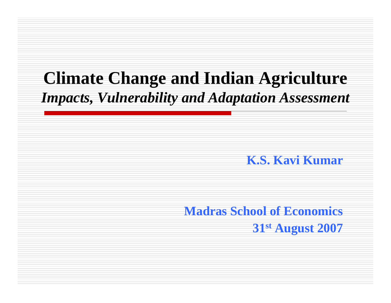### **Climate Change and Indian Agriculture** *Impacts, Vulnerability and Adaptation Assessment*

#### **K.S. Kavi Kumar**

**Madras School of Economics 31st August 2007**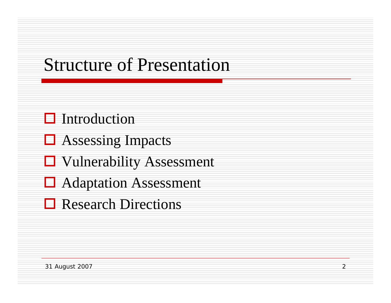# Structure of Presentation

#### $\Box$  Introduction

- **□** Assessing Impacts
- **U** Vulnerability Assessment
- **□** Adaptation Assessment
- **□** Research Directions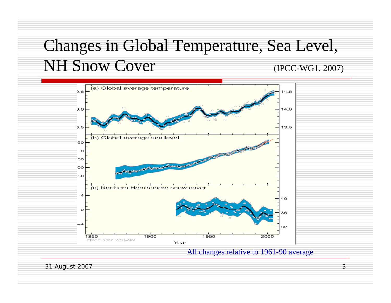## Changes in Global Temperature, Sea Level, NH Snow Cover (IPCC-WG1, 2007)



31 August 2007 3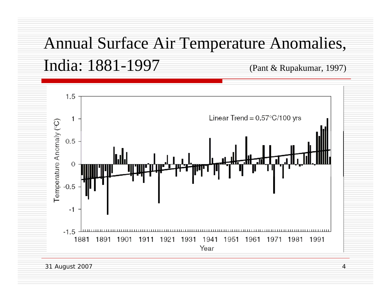# Annual Surface Air Temperature Anomalies, India: 1881-1997 (Pant & Rupakumar, 1997)

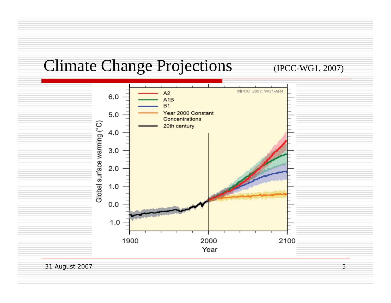#### Climate Change Projections (IPCC-WG1, 2007)



31 August 2007 5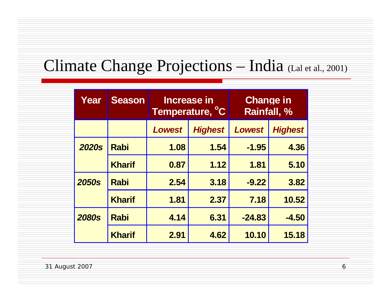#### Climate Change Projections – India (Lal et al., 2001)

| Year         | <b>Season</b> |               | <b>Increase in</b><br>Temperature, <sup>°</sup> C | <b>Change in</b><br><b>Rainfall, %</b> |                |  |
|--------------|---------------|---------------|---------------------------------------------------|----------------------------------------|----------------|--|
|              |               | <b>Lowest</b> | <b>Highest</b>                                    | <b>Lowest</b>                          | <b>Highest</b> |  |
| <b>2020s</b> | <b>Rabi</b>   | 1.08          | 1.54                                              | $-1.95$                                | 4.36           |  |
|              | <b>Kharif</b> | 0.87          | 1.12                                              | 1.81                                   | 5.10           |  |
| <b>2050s</b> | <b>Rabi</b>   | 2.54          | 3.18                                              | $-9.22$                                | 3.82           |  |
|              | <b>Kharif</b> | 1.81          | 2.37                                              | 7.18                                   | 10.52          |  |
| <b>2080s</b> | <b>Rabi</b>   | 4.14          | 6.31                                              | $-24.83$                               | $-4.50$        |  |
|              | <b>Kharif</b> | 2.91          | 4.62                                              | 10.10                                  | 15.18          |  |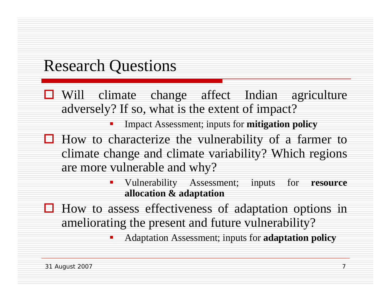#### Research Questions

- **U** Will climate change affect Indian agriculture adversely? If so, what is the extent of impact?
	- $\mathcal{L}(\mathcal{L})$ Impact Assessment; inputs for **mitigation policy**
- $\Box$  How to characterize the vulnerability of a farmer to climate change and climate variability? Which regions are more vulnerable and why?
	- Vulnerability Assessment; inputs for **resource allocation & adaptation**
- $\Box$  How to assess effectiveness of adaptation options in ameliorating the present and future vulnerability?

Ξ Adaptation Assessment; inputs for **adaptation policy**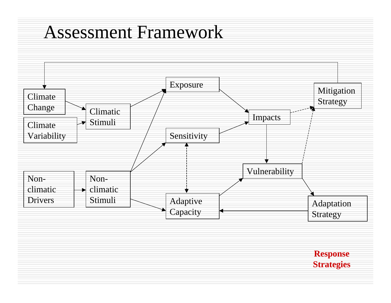## Assessment Framework



**Response Strategies**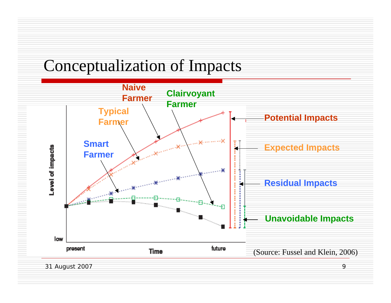### Conceptualization of Impacts



31 August 2007 9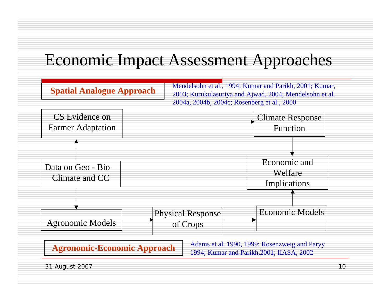### Economic Impact Assessment Approaches

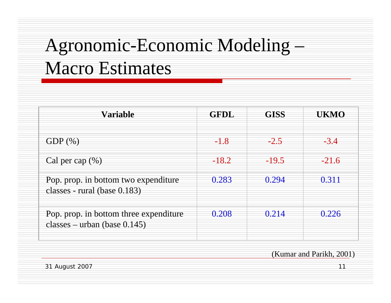# Agronomic-Economic Modeling – Macro Estimates

| <b>Variable</b>                                                           | <b>GFDL</b> | <b>GISS</b> | UKMO    |  |
|---------------------------------------------------------------------------|-------------|-------------|---------|--|
| GDP $(\%)$                                                                | $-1.8$      | $-2.5$      | $-3.4$  |  |
| Cal per cap $(\% )$                                                       | $-18.2$     | $-19.5$     | $-21.6$ |  |
| Pop. prop. in bottom two expenditure<br>classes - rural (base 0.183)      | 0.283       | 0.294       | 0.311   |  |
| Pop. prop. in bottom three expenditure<br>classes – urban (base $0.145$ ) | 0.208       | 0.214       | 0.226   |  |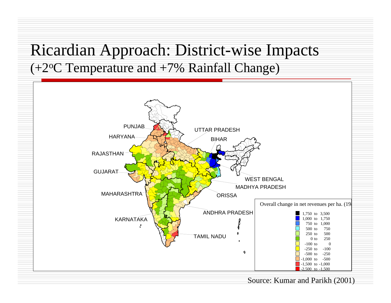#### Ricardian Approach: District-wise Impacts  $(+2$ <sup>o</sup>C Temperature and  $+7$ % Rainfall Change)



#### Source: Kumar and Parikh (2001)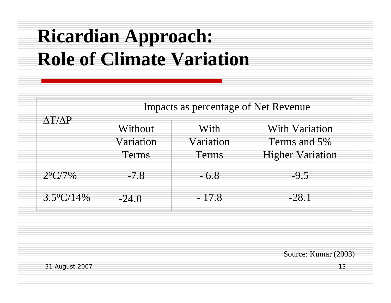# **Ricardian Approach: Role of Climate Variation**

|                     | Impacts as percentage of Net Revenue |                                   |                                                                  |  |  |  |
|---------------------|--------------------------------------|-----------------------------------|------------------------------------------------------------------|--|--|--|
| $\Delta T/\Delta P$ | Without<br>Variation<br>Terms        | With<br>Variation<br><b>Terms</b> | <b>With Variation</b><br>Terms and 5%<br><b>Higher Variation</b> |  |  |  |
| $2^{o}C/7\%$        | $-7.8$                               | $-6.8$                            | $-9.5$                                                           |  |  |  |
| $3.5^{\circ}C/14\%$ | $-24.0$                              | $-17.8$                           | $-28.1$                                                          |  |  |  |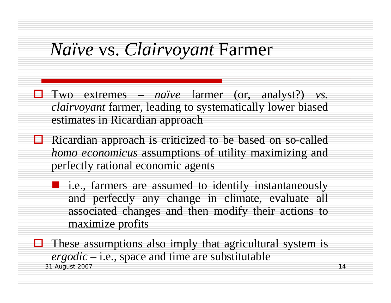## *Naïve* vs. *Clairvoyant* Farmer

- Two extremes *naïve* farmer (or, analyst?) *vs. clairvoyant* farmer, leading to systematically lower biased estimates in Ricardian approach
- $\Box$  Ricardian approach is criticized to be based on so-called *homo economicus* assumptions of utility maximizing and perfectly rational economic agents
	- **lack** i.e., farmers are assumed to identify instantaneously and perfectly any change in climate, evaluate all associated changes and then modify their actions to maximize profits

31 August 2007 14  $\Box$  These assumptions also imply that agricultural system is *ergodic* – i.e., space and time are substitutable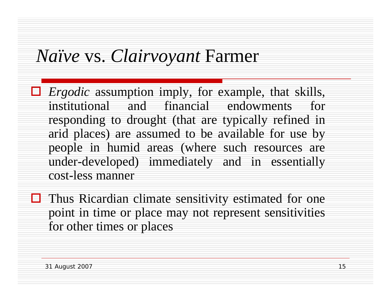## *Naïve* vs. *Clairvoyant* Farmer

- *Ergodic* assumption imply, for example, that skills, institutional and financial endowments for responding to drought (that are typically refined in arid places) are assumed to be available for use by people in humid areas (where such resources are under-developed) immediately and in essentially cost-less manner
- $\Box$  Thus Ricardian climate sensitivity estimated for one point in time or place may not represent sensitivities for other times or places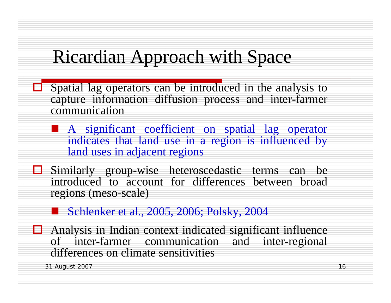# Ricardian Approach with Space

- $\Box$  Spatial lag operators can be introduced in the analysis to capture information diffusion process and inter-farmer communication
	- **A** significant coefficient on spatial lag operator indicates that land use in a region is influenced by land uses in adjacent regions
- Similarly group-wise heteroscedastic terms can be introduced to account for differences between broad regions (meso-scale)
	- Schlenker et al., 2005, 2006; Polsky, 2004
- $\Box$  Analysis in Indian context indicated significant influence of inter-farmer communication and inter-regional differences on climate sensitivities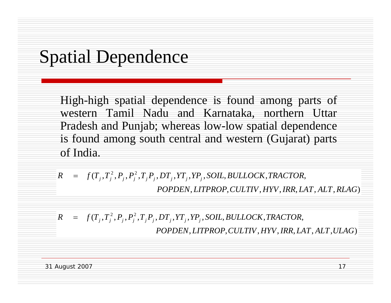# Spatial Dependence

High-high spatial dependence is found among parts of western Tamil Nadu and Karnataka, northern Uttar Pradesh and Punjab; whereas low-low spatial dependence is found among south central and western (Gujarat) parts of India.

$$
R = f(T_j, T_j^2, P_j, P_j^2, T_j P_j, DT_j, YT_j, YP_j, SOL, BULLOCK, TRACTOR,
$$
  
POPDEN, LITPROP, CULTIV, HYV, IRR, LAT, ALT, RLAG)

$$
R = f(T_j, T_j^2, P_j, P_j^2, T_j P_j, DT_j, YT_j, YP_j, SOL, BULLOCK, TRACTOR,
$$
  
POPDEN, LITPROP, CULTIV, HYV, IRR, LAT, ALT, ULAG)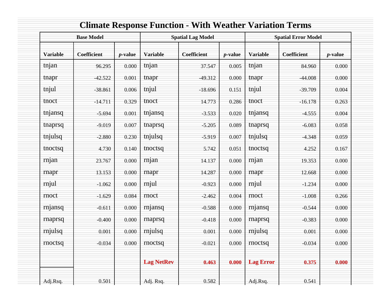|                 | <b>Base Model</b> |            | <b>Spatial Lag Model</b> |             |            | <b>Spatial Error Model</b> |             |            |
|-----------------|-------------------|------------|--------------------------|-------------|------------|----------------------------|-------------|------------|
| <b>Variable</b> | Coefficient       | $p$ -value | <b>Variable</b>          | Coefficient | $p$ -value | <b>Variable</b>            | Coefficient | $p$ -value |
| tnjan           | 96.295            | 0.000      | tnjan                    | 37.547      | 0.005      | tnjan                      | 84.960      | 0.000      |
| tnapr           | $-42.522$         | 0.001      | tnapr                    | $-49.312$   | 0.000      | tnapr                      | $-44.008$   | 0.000      |
| tnjul           | $-38.861$         | 0.006      | tnjul                    | $-18.696$   | 0.151      | tnjul                      | $-39.709$   | 0.004      |
| tnoct           | $-14.711$         | 0.329      | tnoct                    | 14.773      | 0.286      | tnoct                      | $-16.178$   | 0.263      |
| tnjansq         | $-5.694$          | 0.001      | tnjansq                  | $-3.533$    | 0.020      | tnjansq                    | $-4.555$    | 0.004      |
| tnaprsq         | $-9.019$          | 0.007      | tnaprsq                  | $-5.205$    | 0.089      | tnaprsq                    | $-6.083$    | 0.058      |
| tnjulsq         | $-2.880$          | 0.230      | tnjulsq                  | $-5.919$    | 0.007      | tnjulsq                    | $-4.348$    | 0.059      |
| tnoctsq         | 4.730             | 0.140      | tnoctsq                  | 5.742       | 0.051      | tnoctsq                    | 4.252       | 0.167      |
| rnjan           | 23.767            | 0.000      | rnjan                    | 14.137      | 0.000      | rnjan                      | 19.353      | 0.000      |
| rnapr           | 13.153            | 0.000      | rnapr                    | 14.287      | 0.000      | rnapr                      | 12.668      | 0.000      |
| rnjul           | $-1.062$          | 0.000      | rnjul                    | $-0.923$    | 0.000      | rnjul                      | $-1.234$    | 0.000      |
| rnoct           | $-1.629$          | 0.084      | rnoct                    | $-2.462$    | 0.004      | rnoct                      | $-1.008$    | 0.266      |
| rnjansq         | $-0.611$          | 0.000      | rnjansq                  | $-0.588$    | 0.000      | rnjansq                    | $-0.544$    | 0.000      |
| rnaprsq         | $-0.400$          | 0.000      | rnaprsq                  | $-0.418$    | 0.000      | rnaprsq                    | $-0.383$    | 0.000      |
| rnjulsq         | 0.001             | 0.000      | rnjulsq                  | 0.001       | 0.000      | rnjulsq                    | 0.001       | 0.000      |
| rnoctsq         | $-0.034$          | 0.000      | rnoctsq                  | $-0.021$    | 0.000      | rnoctsq                    | $-0.034$    | 0.000      |
|                 |                   |            | <b>Lag NetRev</b>        | 0.463       | 0.000      | <b>Lag Error</b>           | 0.375       | 0.000      |
| Adj.Rsq.        | 0.501             |            | Adj. Rsq.                | 0.582       |            | Adj.Rsq.                   | 0.541       |            |

#### **Climate Response Function - With Weather Variation Terms**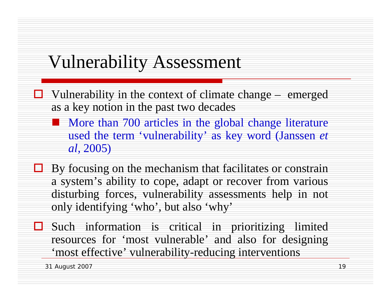## Vulnerability Assessment

- $\Box$  Vulnerability in the context of climate change emerged as a key notion in the past two decades
	- **More than 700 articles in the global change literature** used the term 'vulnerability' as key word (Janssen *et al,* 2005)
- $\Box$  By focusing on the mechanism that facilitates or constrain a system's ability to cope, adapt or recover from various disturbing forces, vulnerability assessments help in not only identifying 'who', but also 'why'
- П. Such information is critical in prioritizing limited resources for 'most vulnerable' and also for designing 'most effective' vulnerability-reducing interventions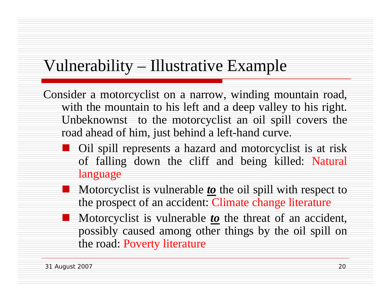### Vulnerability – Illustrative Example

Consider a motorcyclist on a narrow, winding mountain road, with the mountain to his left and a deep valley to his right. Unbeknownst to the motorcyclist an oil spill covers the road ahead of him, just behind a left-hand curve.

- **Oil spill represents a hazard and motorcyclist is at risk** of falling down the cliff and being killed: Natural language
- **Motorcyclist is vulnerable <u>to</u>** the oil spill with respect to the prospect of an accident: Climate change literature
- **Motorcyclist is vulnerable <u>to</u>** the threat of an accident, possibly caused among other things by the oil spill on the road: Poverty literature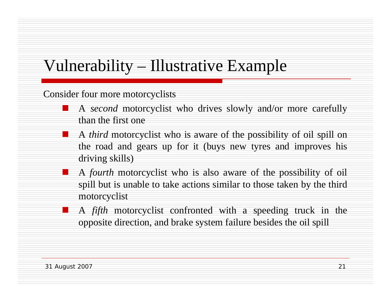### Vulnerability – Illustrative Example

Consider four more motorcyclists

- $\mathcal{L}(\mathcal{L})$  A *second* motorcyclist who drives slowly and/or more carefully than the first one
- A *third* motorcyclist who is aware of the possibility of oil spill on the road and gears up for it (buys new tyres and improves his driving skills)
- an<br>Ma A *fourth* motorcyclist who is also aware of the possibility of oil spill but is unable to take actions similar to those taken by the third motorcyclist
	- A *fifth* motorcyclist confronted with a speeding truck in the opposite direction, and brake system failure besides the oil spill

 $\mathcal{L}(\mathcal{L})$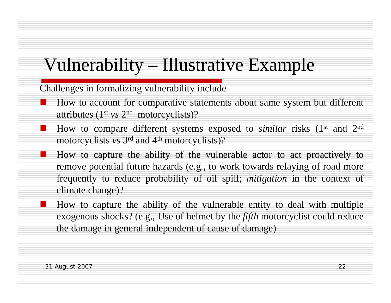# Vulnerability – Illustrative Example

Challenges in formalizing vulnerability include

- $\mathcal{L}(\mathcal{L})$  How to account for comparative statements about same system but different attributes (1st *vs* 2n<sup>d</sup> motorcyclists)?
- How to compare different systems exposed to *similar* risks (1<sup>st</sup> and 2<sup>nd</sup>) motorcyclists *vs* 3<sup>rd</sup> and 4<sup>th</sup> motorcyclists)?
	- How to capture the ability of the vulnerable actor to act proactively to remove potential future hazards (e.g., to work towards relaying of road more frequently to reduce probability of oil spill; *mitigation* in the context of climate change)?
	- How to capture the ability of the vulnerable entity to deal with multiple exogenous shocks? (e.g., Use of helmet by the *fifth* motorcyclist could reduce the damage in general independent of cause of damage)

an<br>Ma

 $\mathcal{L}(\mathcal{L})$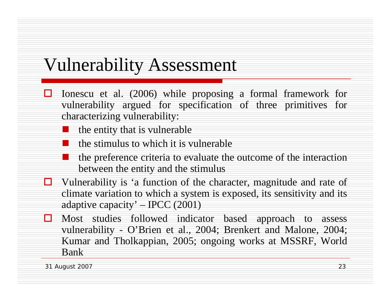## Vulnerability Assessment

- $\Box$  Ionescu et al. (2006) while proposing a formal framework for vulnerability argued for specification of three primitives for characterizing vulnerability:
	- the entity that is vulnerable
	- the stimulus to which it is vulnerable
	- the preference criteria to evaluate the outcome of the interaction between the entity and the stimulus
- $\Box$  Vulnerability is 'a function of the character, magnitude and rate of climate variation to which a system is exposed, its sensitivity and its adaptive capacity' – IPCC (2001)
- П. Most studies followed indicator based approach to assess vulnerability - O'Brien et al., 2004; Brenkert and Malone, 2004; Kumar and Tholkappian, 2005; ongoing works at MSSRF, World Bank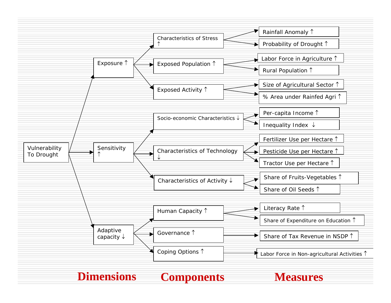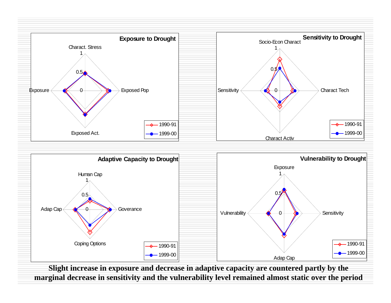



**Slight increase in exposure and decrease in adaptive capacity are countered partly by the marginal decrease in sensitivity and the vulnerability level remained almost static over the period**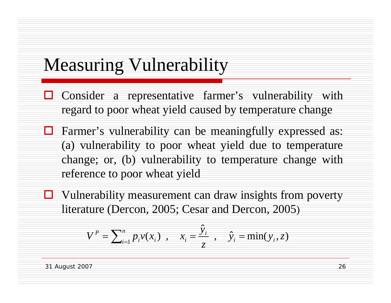## Measuring Vulnerability

- $\Box$  Consider a representative farmer's vulnerability with regard to poor wheat yield caused by temperature change
- $\Box$  Farmer's vulnerability can be meaningfully expressed as: (a) vulnerability to poor wheat yield due to temperature change; or, (b) vulnerability to temperature change with reference to poor wheat yield
- $\Box$  Vulnerability measurement can draw insights from poverty literature (Dercon, 2005; Cesar and Dercon, 2005)

$$
V^{P} = \sum_{i=1}^{n} p_{i} v(x_{i}) , \quad x_{i} = \frac{\hat{y}_{i}}{z} , \quad \hat{y}_{i} = \min(y_{i}, z)
$$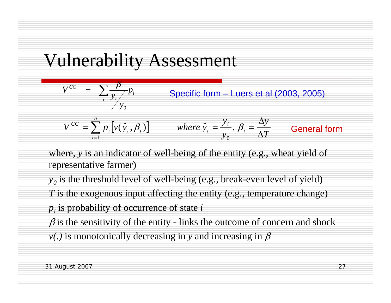# Vulnerability Assessment



where, *y* is an indicator of well-being of the entity (e.g., wheat yield of representative farmer)

 $y_o$  is the threshold level of well-being (e.g., break-even level of yield) *T* is the exogenous input affecting the entity (e.g., temperature change) *pi* is probability of occurrence of state *i*  $\beta$  is the sensitivity of the entity - links the outcome of concern and shock  $v(.)$  is monotonically decreasing in *y* and increasing in  $\beta$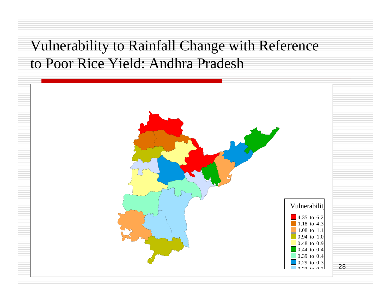#### Vulnerability to Rainfall Change with Reference to Poor Rice Yield: Andhra Pradesh

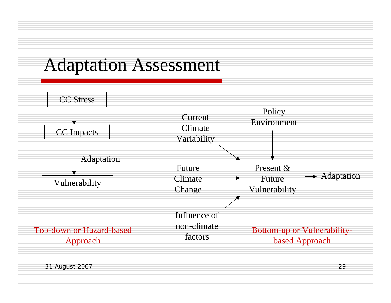# Adaptation Assessment

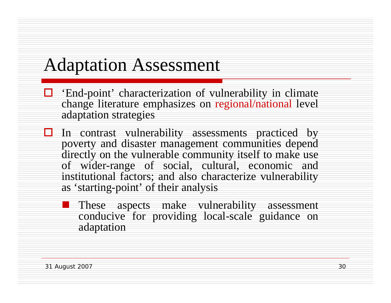# Adaptation Assessment

- $\Box$  'End-point' characterization of vulnerability in climate change literature emphasizes on regional/national level adaptation strategies
- $\Box$  In contrast vulnerability assessments practiced by poverty and disaster management communities depend directly on the vulnerable community itself to make use of wider-range of social, cultural, economic and institutional factors; and also characterize vulnerability as 'starting-point' of their analysis
	- $\mathbb{R}^3$  These aspects make vulnerability assessment conducive for providing local-scale guidance on adaptation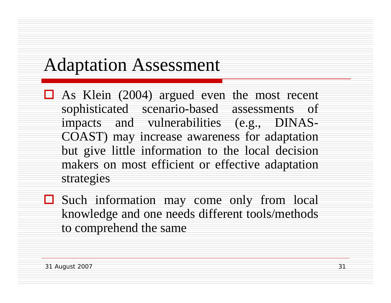## Adaptation Assessment

- $\Box$  As Klein (2004) argued even the most recent sophisticated scenario-based assessments of impacts and vulnerabilities (e.g., DINAS-COAST) may increase awareness for adaptation but give little information to the local decision makers on most efficient or effective adaptation strategies
- Such information may come only from local knowledge and one needs different tools/methods to comprehend the same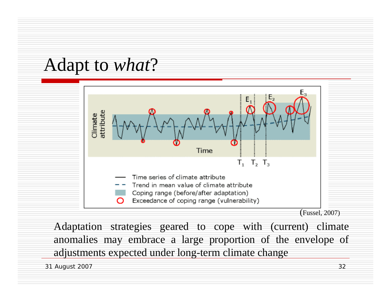



Adaptation strategies geared to cope with (current) climate anomalies may embrace a large proportion of the envelope of adjustments expected under long-term climate change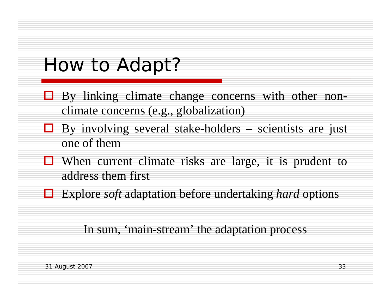# *How* to Adapt?

- $\Box$  By linking climate change concerns with other nonclimate concerns (e.g., globalization)
- $\Box$  By involving several stake-holders scientists are just one of them
- $\Box$  When current climate risks are large, it is prudent to address them first
- Explore *soft* adaptation before undertaking *hard* options

#### In sum, 'main-stream' the adaptation process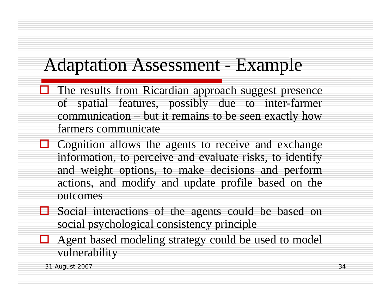# Adaptation Assessment - Example

- $\Box$  The results from Ricardian approach suggest presence of spatial features, possibly due to inter-farmer communication – but it remains to be seen exactly how farmers communicate
- $\Box$  Cognition allows the agents to receive and exchange information, to perceive and evaluate risks, to identify and weight options, to make decisions and perform actions, and modify and update profile based on the outcomes
- Social interactions of the agents could be based on social psychological consistency principle
- $\Box$  Agent based modeling strategy could be used to model vulnerability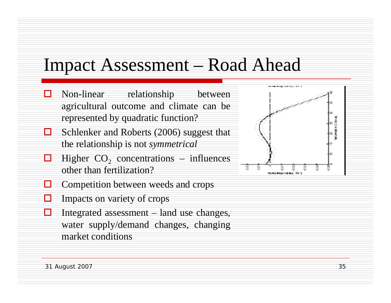## Impact Assessment – Road Ahead

- П Non-linear relationship between agricultural outcome and climate can be represented by quadratic function?
- $\Box$  Schlenker and Roberts (2006) suggest that the relationship is not *symmetrical*
- □  $\Box$  Higher  $CO_2$  concentrations – influences other than fertilization?
- Н Competition between weeds and crops
- $\Box$ Impacts on variety of crops
- П Integrated assessment – land use changes, water supply/demand changes, changing market conditions

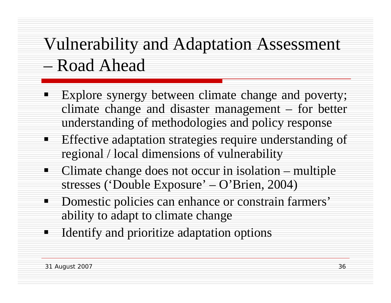# Vulnerability and Adaptation Assessment – Road Ahead

- $\blacksquare$  Explore synergy between climate change and poverty; climate change and disaster management – for better understanding of methodologies and policy response
- $\blacksquare$  Effective adaptation strategies require understanding of regional / local dimensions of vulnerability
	- Climate change does not occur in isolation multiple stresses ('Double Exposure' – O'Brien, 2004)
- $\blacksquare$  . Domestic policies can enhance or constrain farmers' ability to adapt to climate change
- $\blacksquare$ Identify and prioritize adaptation options

 $\blacksquare$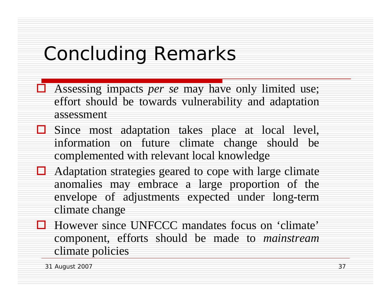# Concluding Remarks

- Assessing impacts *per se* may have only limited use; effort should be towards vulnerability and adaptation assessment
- $\Box$  Since most adaptation takes place at local level, information on future climate change should be complemented with relevant local knowledge
- $\Box$  Adaptation strategies geared to cope with large climate anomalies may embrace a large proportion of the envelope of adjustments expected under long-term climate change
- However since UNFCCC mandates focus on 'climate' component, efforts should be made to *mainstream* climate policies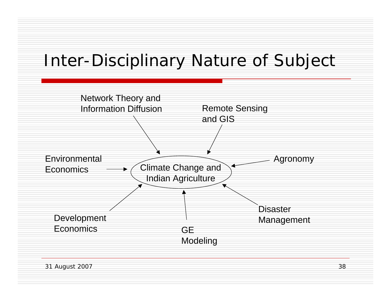## Inter-Disciplinary Nature of Subject